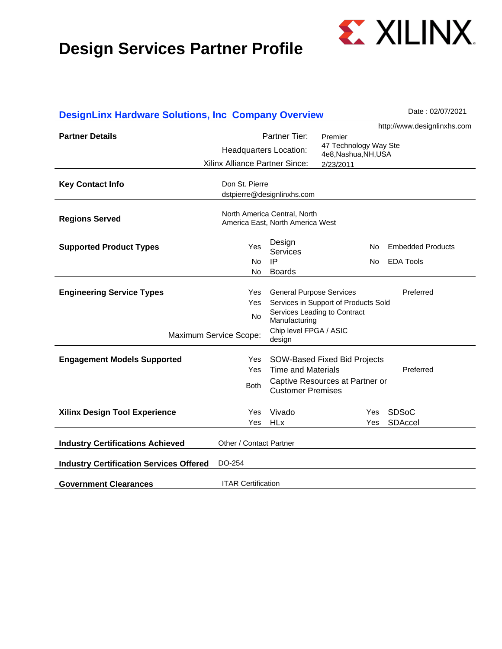

| <b>DesignLinx Hardware Solutions, Inc Company Overview</b> |                                       |                                  |                                      | Date: 02/07/2021                              |  |
|------------------------------------------------------------|---------------------------------------|----------------------------------|--------------------------------------|-----------------------------------------------|--|
|                                                            |                                       |                                  |                                      | http://www.designlinxhs.com                   |  |
| <b>Partner Details</b>                                     |                                       | Partner Tier:                    | Premier                              |                                               |  |
|                                                            |                                       | <b>Headquarters Location:</b>    |                                      | 47 Technology Way Ste<br>4e8, Nashua, NH, USA |  |
|                                                            | <b>Xilinx Alliance Partner Since:</b> |                                  | 2/23/2011                            |                                               |  |
|                                                            |                                       |                                  |                                      |                                               |  |
| <b>Key Contact Info</b>                                    | Don St. Pierre                        |                                  |                                      |                                               |  |
|                                                            |                                       | dstpierre@designlinxhs.com       |                                      |                                               |  |
| <b>Regions Served</b>                                      |                                       | North America Central, North     |                                      |                                               |  |
|                                                            |                                       | America East, North America West |                                      |                                               |  |
|                                                            |                                       | Design                           |                                      |                                               |  |
| <b>Supported Product Types</b>                             | Yes                                   | <b>Services</b>                  | No.                                  | <b>Embedded Products</b>                      |  |
|                                                            | No                                    | IP                               | No.                                  | <b>EDA Tools</b>                              |  |
|                                                            | No.                                   | <b>Boards</b>                    |                                      |                                               |  |
| <b>Engineering Service Types</b>                           | Yes.                                  | <b>General Purpose Services</b>  |                                      | Preferred                                     |  |
|                                                            | Yes                                   |                                  | Services in Support of Products Sold |                                               |  |
|                                                            | No                                    |                                  | Services Leading to Contract         |                                               |  |
|                                                            |                                       | Manufacturing                    |                                      |                                               |  |
|                                                            | Maximum Service Scope:                | Chip level FPGA / ASIC<br>design |                                      |                                               |  |
| <b>Engagement Models Supported</b>                         | Yes                                   |                                  | SOW-Based Fixed Bid Projects         |                                               |  |
|                                                            | <b>Yes</b>                            | <b>Time and Materials</b>        |                                      | Preferred                                     |  |
|                                                            | <b>Both</b>                           |                                  | Captive Resources at Partner or      |                                               |  |
|                                                            |                                       | <b>Customer Premises</b>         |                                      |                                               |  |
| <b>Xilinx Design Tool Experience</b>                       | Yes                                   | Vivado                           | Yes                                  | <b>SDSoC</b>                                  |  |
|                                                            | <b>Yes</b>                            | <b>HLx</b>                       | <b>Yes</b>                           | SDAccel                                       |  |
|                                                            |                                       |                                  |                                      |                                               |  |
| <b>Industry Certifications Achieved</b>                    | Other / Contact Partner               |                                  |                                      |                                               |  |
| <b>Industry Certification Services Offered</b>             | DO-254                                |                                  |                                      |                                               |  |
|                                                            |                                       |                                  |                                      |                                               |  |
| <b>Government Clearances</b>                               | <b>ITAR Certification</b>             |                                  |                                      |                                               |  |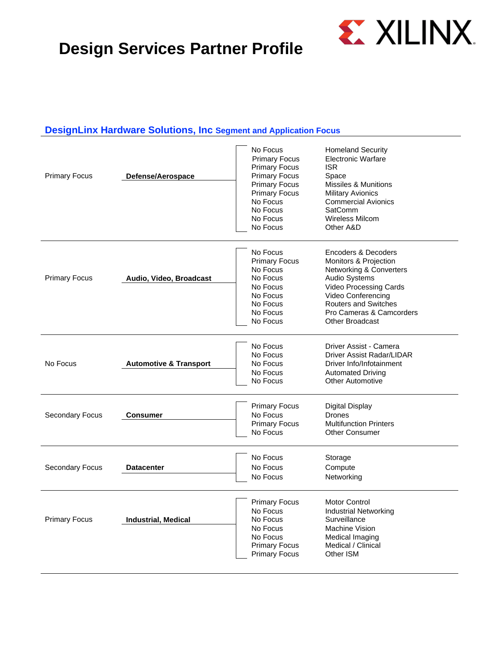

#### **DesignLinx Hardware Solutions, Inc Segment and Application Focus**

| <b>Primary Focus</b>   | Defense/Aerospace                 | No Focus<br><b>Primary Focus</b><br><b>Primary Focus</b><br><b>Primary Focus</b><br><b>Primary Focus</b><br><b>Primary Focus</b><br>No Focus<br>No Focus<br>No Focus<br>No Focus | <b>Homeland Security</b><br><b>Electronic Warfare</b><br><b>ISR</b><br>Space<br><b>Missiles &amp; Munitions</b><br><b>Military Avionics</b><br><b>Commercial Avionics</b><br><b>SatComm</b><br><b>Wireless Milcom</b><br>Other A&D              |
|------------------------|-----------------------------------|----------------------------------------------------------------------------------------------------------------------------------------------------------------------------------|-------------------------------------------------------------------------------------------------------------------------------------------------------------------------------------------------------------------------------------------------|
| <b>Primary Focus</b>   | Audio, Video, Broadcast           | No Focus<br><b>Primary Focus</b><br>No Focus<br>No Focus<br>No Focus<br>No Focus<br>No Focus<br>No Focus<br>No Focus                                                             | <b>Encoders &amp; Decoders</b><br>Monitors & Projection<br>Networking & Converters<br>Audio Systems<br><b>Video Processing Cards</b><br>Video Conferencing<br><b>Routers and Switches</b><br>Pro Cameras & Camcorders<br><b>Other Broadcast</b> |
| No Focus               | <b>Automotive &amp; Transport</b> | No Focus<br>No Focus<br>No Focus<br>No Focus<br>No Focus                                                                                                                         | Driver Assist - Camera<br>Driver Assist Radar/LIDAR<br>Driver Info/Infotainment<br><b>Automated Driving</b><br><b>Other Automotive</b>                                                                                                          |
| Secondary Focus        | <b>Consumer</b>                   | <b>Primary Focus</b><br>No Focus<br><b>Primary Focus</b><br>No Focus                                                                                                             | Digital Display<br><b>Drones</b><br><b>Multifunction Printers</b><br><b>Other Consumer</b>                                                                                                                                                      |
| <b>Secondary Focus</b> | <b>Datacenter</b>                 | No Focus<br>No Focus<br>No Focus                                                                                                                                                 | Storage<br>Compute<br>Networking                                                                                                                                                                                                                |
| <b>Primary Focus</b>   | <b>Industrial, Medical</b>        | <b>Primary Focus</b><br>No Focus<br>No Focus<br>No Focus<br>No Focus<br><b>Primary Focus</b><br><b>Primary Focus</b>                                                             | <b>Motor Control</b><br><b>Industrial Networking</b><br>Surveillance<br>Machine Vision<br>Medical Imaging<br>Medical / Clinical<br>Other ISM                                                                                                    |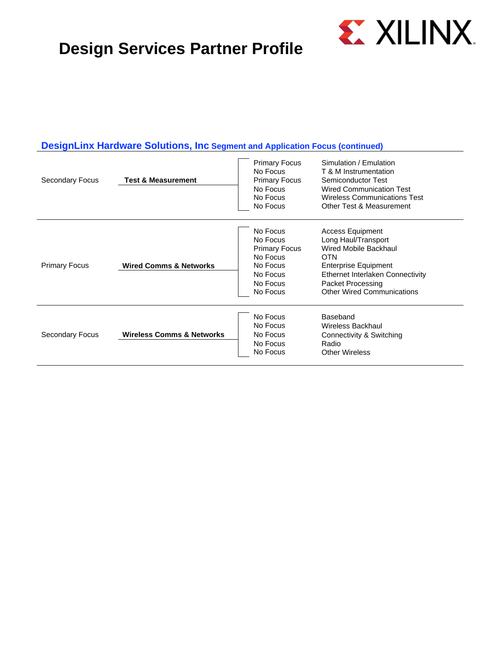

#### **DesignLinx Hardware Solutions, Inc Segment and Application Focus (continued)**

| Secondary Focus      | <b>Test &amp; Measurement</b>        | <b>Primary Focus</b><br>No Focus<br><b>Primary Focus</b><br>No Focus<br>No Focus<br>No Focus             | Simulation / Emulation<br>T & M Instrumentation<br>Semiconductor Test<br><b>Wired Communication Test</b><br><b>Wireless Communications Test</b><br>Other Test & Measurement                                 |
|----------------------|--------------------------------------|----------------------------------------------------------------------------------------------------------|-------------------------------------------------------------------------------------------------------------------------------------------------------------------------------------------------------------|
| <b>Primary Focus</b> | <b>Wired Comms &amp; Networks</b>    | No Focus<br>No Focus<br><b>Primary Focus</b><br>No Focus<br>No Focus<br>No Focus<br>No Focus<br>No Focus | <b>Access Equipment</b><br>Long Haul/Transport<br>Wired Mobile Backhaul<br>OTN<br><b>Enterprise Equipment</b><br>Ethernet Interlaken Connectivity<br>Packet Processing<br><b>Other Wired Communications</b> |
| Secondary Focus      | <b>Wireless Comms &amp; Networks</b> | No Focus<br>No Focus<br>No Focus<br>No Focus<br>No Focus                                                 | Baseband<br>Wireless Backhaul<br>Connectivity & Switching<br>Radio<br><b>Other Wireless</b>                                                                                                                 |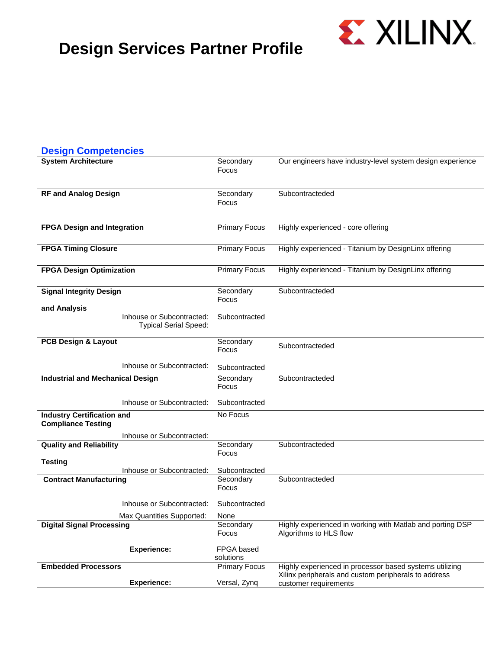

| <b>Design Competencies</b>                                     |                                                           |                                      |                                                                                                                 |
|----------------------------------------------------------------|-----------------------------------------------------------|--------------------------------------|-----------------------------------------------------------------------------------------------------------------|
| <b>System Architecture</b>                                     |                                                           | Secondary<br>Focus                   | Our engineers have industry-level system design experience                                                      |
| <b>RF and Analog Design</b>                                    |                                                           | Secondary<br>Focus                   | Subcontracteded                                                                                                 |
| <b>FPGA Design and Integration</b>                             |                                                           | <b>Primary Focus</b>                 | Highly experienced - core offering                                                                              |
| <b>FPGA Timing Closure</b>                                     |                                                           | <b>Primary Focus</b>                 | Highly experienced - Titanium by DesignLinx offering                                                            |
| <b>FPGA Design Optimization</b>                                |                                                           | <b>Primary Focus</b>                 | Highly experienced - Titanium by DesignLinx offering                                                            |
| <b>Signal Integrity Design</b>                                 |                                                           | Secondary<br>Focus                   | Subcontracteded                                                                                                 |
| and Analysis                                                   | Inhouse or Subcontracted:<br><b>Typical Serial Speed:</b> | Subcontracted                        |                                                                                                                 |
| PCB Design & Layout                                            |                                                           | Secondary<br>Focus                   | Subcontracteded                                                                                                 |
|                                                                | Inhouse or Subcontracted:                                 | Subcontracted                        |                                                                                                                 |
| <b>Industrial and Mechanical Design</b>                        |                                                           | Secondary<br>Focus                   | Subcontracteded                                                                                                 |
|                                                                | Inhouse or Subcontracted:                                 | Subcontracted                        |                                                                                                                 |
| <b>Industry Certification and</b><br><b>Compliance Testing</b> |                                                           | No Focus                             |                                                                                                                 |
|                                                                | Inhouse or Subcontracted:                                 |                                      |                                                                                                                 |
| <b>Quality and Reliability</b>                                 |                                                           | Secondary<br>Focus                   | Subcontracteded                                                                                                 |
| <b>Testing</b>                                                 | Inhouse or Subcontracted:                                 | Subcontracted                        |                                                                                                                 |
| <b>Contract Manufacturing</b>                                  |                                                           | Secondary<br>Focus                   | Subcontracteded                                                                                                 |
|                                                                | Inhouse or Subcontracted:                                 | Subcontracted                        |                                                                                                                 |
|                                                                | Max Quantities Supported:                                 | None                                 |                                                                                                                 |
| <b>Digital Signal Processing</b>                               |                                                           | Secondary<br>Focus                   | Highly experienced in working with Matlab and porting DSP<br>Algorithms to HLS flow                             |
|                                                                | <b>Experience:</b>                                        | FPGA based<br>solutions              |                                                                                                                 |
| <b>Embedded Processors</b>                                     | <b>Experience:</b>                                        | <b>Primary Focus</b><br>Versal, Zynq | Highly experienced in processor based systems utilizing<br>Xilinx peripherals and custom peripherals to address |
|                                                                |                                                           |                                      | customer requirements                                                                                           |